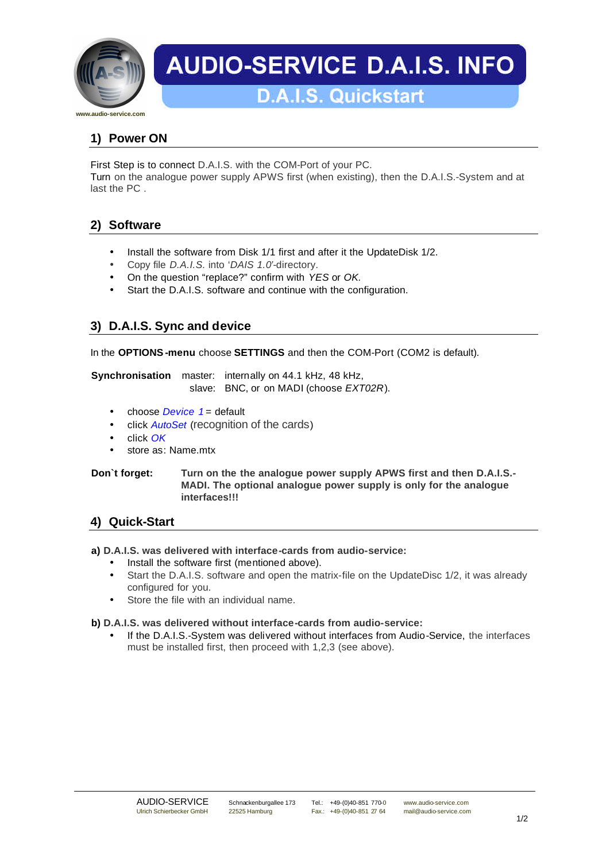

# **AUDIO-SERVICE D.A.I.S. INFO**

## **1) Power ON**

First Step is to connect D.A.I.S. with the COM-Port of your PC.

Turn on the analogue power supply APWS first (when existing), then the D.A.I.S.-System and at last the PC .

## **2) Software**

- Install the software from Disk 1/1 first and after it the UpdateDisk 1/2.
- Copy file *D.A.I.S.* into '*DAIS 1.0'*-directory.
- On the question "replace?" confirm with *YES* or *OK.*
- Start the D.A.I.S. software and continue with the configuration.

## **3) D.A.I.S. Sync and device**

In the **OPTIONS-menu** choose **SETTINGS** and then the COM-Port (COM2 is default).

**Synchronisation** master: internally on 44.1 kHz, 48 kHz, slave: BNC, or on MADI (choose *EXT02R*).

- choose *Device* 1 = default
- click *AutoSet* (recognition of the cards)
- click *OK*
- store as: Name.mtx

#### **Don`t forget: Turn on the the analogue power supply APWS first and then D.A.I.S.- MADI. The optional analogue power supply is only for the analogue interfaces!!!**

## **4) Quick-Start**

**a) D.A.I.S. was delivered with interface-cards from audio-service:**

- Install the software first (mentioned above).
- Start the D.A.I.S. software and open the matrix-file on the UpdateDisc 1/2, it was already configured for you.
- Store the file with an individual name.

### **b) D.A.I.S. was delivered without interface-cards from audio-service:**

• If the D.A.I.S.-System was delivered without interfaces from Audio-Service, the interfaces must be installed first, then proceed with 1,2,3 (see above).